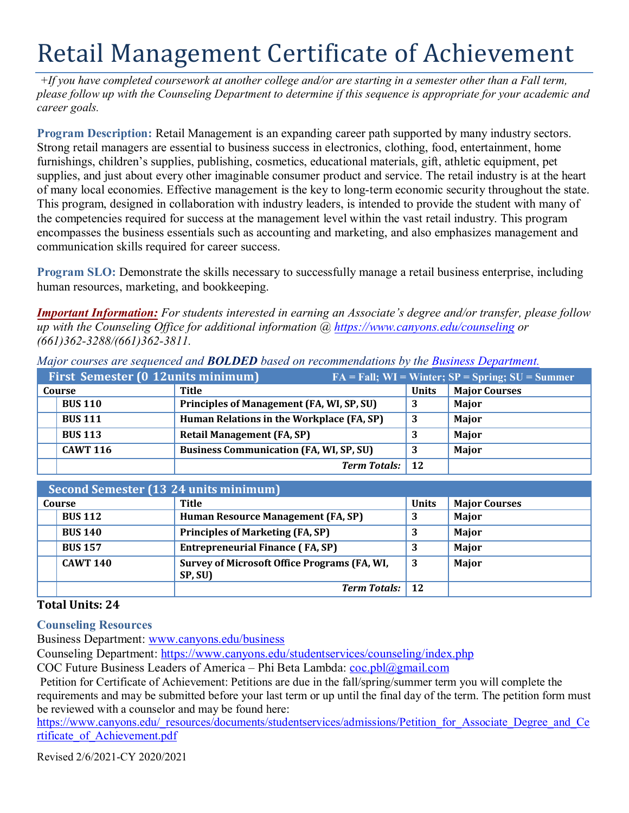## Retail Management Certificate of Achievement

*+If you have completed coursework at another college and/or are starting in a semester other than a Fall term, please follow up with the Counseling Department to determine if this sequence is appropriate for your academic and career goals.*

 **Program Description:** Retail Management is an expanding career path supported by many industry sectors. supplies, and just about every other imaginable consumer product and service. The retail industry is at the heart of many local economies. Effective management is the key to long-term economic security throughout the state. This program, designed in collaboration with industry leaders, is intended to provide the student with many of communication skills required for career success. Strong retail managers are essential to business success in electronics, clothing, food, entertainment, home furnishings, children's supplies, publishing, cosmetics, educational materials, gift, athletic equipment, pet the competencies required for success at the management level within the vast retail industry. This program encompasses the business essentials such as accounting and marketing, and also emphasizes management and

**Program SLO:** Demonstrate the skills necessary to successfully manage a retail business enterprise, including human resources, marketing, and bookkeeping.

 *up with the Counseling Office for additional information @<https://www.canyons.edu/counseling> or Important Information: For students interested in earning an Associate's degree and/or transfer, please follow (661)362-3288/(661)362-3811.*

|                 | First Semester (0 12units minimum)             |                     | $FA = Fall; WI = Winter; \overline{SP} = Spring; SU = Summer$ |                      |
|-----------------|------------------------------------------------|---------------------|---------------------------------------------------------------|----------------------|
| Course          | Title                                          |                     | <b>Units</b>                                                  | <b>Major Courses</b> |
| <b>BUS 110</b>  | Principles of Management (FA, WI, SP, SU)      |                     | 3                                                             | Major                |
| <b>BUS 111</b>  | Human Relations in the Workplace (FA, SP)      |                     |                                                               | Major                |
| <b>BUS 113</b>  | <b>Retail Management (FA, SP)</b>              |                     |                                                               | Major                |
| <b>CAWT 116</b> | <b>Business Communication (FA, WI, SP, SU)</b> |                     |                                                               | Major                |
|                 |                                                | <b>Term Totals:</b> | 12                                                            |                      |

*Major courses are sequenced and BOLDED based on recommendations by the [Business Department.](https://www.canyons.edu/academics/schools/business/)*

| Second Semester (13 24 units minimum) |                 |                                                                |              |                      |  |  |  |
|---------------------------------------|-----------------|----------------------------------------------------------------|--------------|----------------------|--|--|--|
| Course                                |                 | Title                                                          | <b>Units</b> | <b>Major Courses</b> |  |  |  |
|                                       | <b>BUS 112</b>  | Human Resource Management (FA, SP)                             | 3            | Major                |  |  |  |
|                                       | <b>BUS 140</b>  | <b>Principles of Marketing (FA, SP)</b>                        |              | Major                |  |  |  |
|                                       | <b>BUS 157</b>  | <b>Entrepreneurial Finance (FA, SP)</b>                        |              | Major                |  |  |  |
|                                       | <b>CAWT 140</b> | <b>Survey of Microsoft Office Programs (FA, WI,</b><br>SP, SU) | 3            | Major                |  |  |  |
|                                       |                 | <b>Term Totals:</b> 12                                         |              |                      |  |  |  |

## **Total Units: 24**

**Counseling Resources** 

Business Department: www.canyons.edu/business

Counseling Department: https://www.canyons.edu/studentservices/counseling/index.php

COC Future Business Leaders of America – Phi Beta Lambda: coc.pbl@gmail.com

 requirements and may be submitted before your last term or up until the final day of the term. The petition form must be reviewed with a counselor and may be found here: Petition for Certificate of Achievement: Petitions are due in the fall/spring/summer term you will complete the

https://www.canyons.edu/\_resources/documents/studentservices/admissions/Petition\_for\_Associate\_Degree\_and\_Ce rtificate\_of\_Achievement.pdf

Revised 2/6/2021-CY 2020/2021